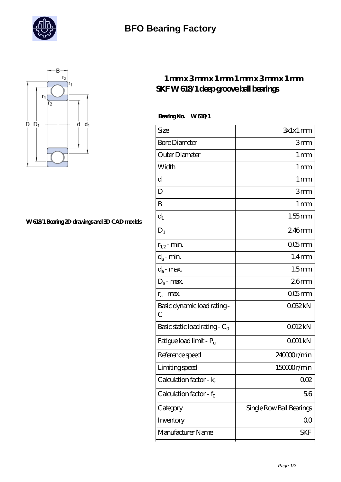

# **[BFO Bearing Factory](https://ucgkj.com)**



#### **[W 618/1 Bearing 2D drawings and 3D CAD models](https://ucgkj.com/pic-153028.html)**

### **[1 mm x 3 mm x 1 mm 1 mm x 3 mm x 1 mm](https://ucgkj.com/ar-153028-skf-w-618-1-deep-groove-ball-bearings.html) [SKF W 618/1 deep groove ball bearings](https://ucgkj.com/ar-153028-skf-w-618-1-deep-groove-ball-bearings.html)**

 **Bearing No. W 618/1**

| Size                                        | $3x1x1$ mm               |
|---------------------------------------------|--------------------------|
| <b>Bore Diameter</b>                        | 3mm                      |
| Outer Diameter                              | $1 \,\mathrm{mm}$        |
| Width                                       | 1 <sub>mm</sub>          |
| d                                           | $1 \,\mathrm{mm}$        |
| D                                           | 3mm                      |
| B                                           | 1 <sub>mm</sub>          |
| $d_1$                                       | $1.55$ mm                |
| $D_1$                                       | $246$ mm                 |
| $r_{1,2}$ - min.                            | $005$ mm                 |
| $d_a$ - min.                                | 1.4 <sub>mm</sub>        |
| $d_a$ - max.                                | 1.5 <sub>mm</sub>        |
| $D_a$ - max.                                | 26mm                     |
| $r_a$ - max.                                | $005$ mm                 |
| Basic dynamic load rating-<br>$\mathcal{C}$ | Q052kN                   |
| Basic static load rating - $C_0$            | 0012kN                   |
| Fatigue load limit - P <sub>u</sub>         | QOO1 kN                  |
| Reference speed                             | 240000r/min              |
| Limiting speed                              | 150000r/min              |
| Calculation factor - $k_r$                  | 002                      |
| Calculation factor - $f_0$                  | 56                       |
| Category                                    | Single Row Ball Bearings |
| Inventory                                   | QO                       |
| Manufacturer Name                           | <b>SKF</b>               |
|                                             |                          |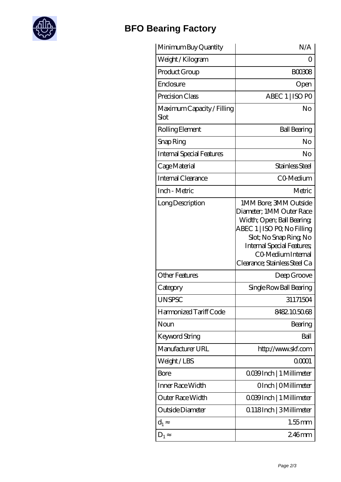

# **[BFO Bearing Factory](https://ucgkj.com)**

| Minimum Buy Quantity               | N/A                                                                                                                                                                                                                                |
|------------------------------------|------------------------------------------------------------------------------------------------------------------------------------------------------------------------------------------------------------------------------------|
| Weight / Kilogram                  | Ω                                                                                                                                                                                                                                  |
| Product Group                      | <b>BOO308</b>                                                                                                                                                                                                                      |
| Enclosure                          | Open                                                                                                                                                                                                                               |
| Precision Class                    | ABEC 1   ISO PO                                                                                                                                                                                                                    |
| Maximum Capacity / Filling<br>Slot | No                                                                                                                                                                                                                                 |
| Rolling Element                    | <b>Ball Bearing</b>                                                                                                                                                                                                                |
| Snap Ring                          | No                                                                                                                                                                                                                                 |
| <b>Internal Special Features</b>   | No                                                                                                                                                                                                                                 |
| Cage Material                      | Stainless Steel                                                                                                                                                                                                                    |
| Internal Clearance                 | CO-Medium                                                                                                                                                                                                                          |
| Inch - Metric                      | Metric                                                                                                                                                                                                                             |
| Long Description                   | 1MM Bore; 3MM Outside<br>Diameter; 1MM Outer Race<br>Width; Open; Ball Bearing;<br>ABEC 1   ISO PQ No Filling<br>Slot; No Snap Ring, No<br><b>Internal Special Features</b><br>CO Medium Internal<br>Clearance; Stainless Steel Ca |
| <b>Other Features</b>              | Deep Groove                                                                                                                                                                                                                        |
| Category                           | Single Row Ball Bearing                                                                                                                                                                                                            |
| <b>UNSPSC</b>                      | 31171504                                                                                                                                                                                                                           |
| Harmonized Tariff Code             | 8482105068                                                                                                                                                                                                                         |
| Noun                               | Bearing                                                                                                                                                                                                                            |
| Keyword String                     | Ball                                                                                                                                                                                                                               |
| Manufacturer URL                   | http://www.skf.com                                                                                                                                                                                                                 |
| Weight/LBS                         | 00001                                                                                                                                                                                                                              |
| Bore                               | 0.039 Inch   1 Millimeter                                                                                                                                                                                                          |
| Inner Race Width                   | OInch   OMillimeter                                                                                                                                                                                                                |
| Outer Race Width                   | 0.039 Inch   1 Millimeter                                                                                                                                                                                                          |
| Outside Diameter                   | 0.118Inch   3Millimeter                                                                                                                                                                                                            |
| $d_1$                              | $1.55$ mm                                                                                                                                                                                                                          |
| $D_1$                              | $246$ mm                                                                                                                                                                                                                           |